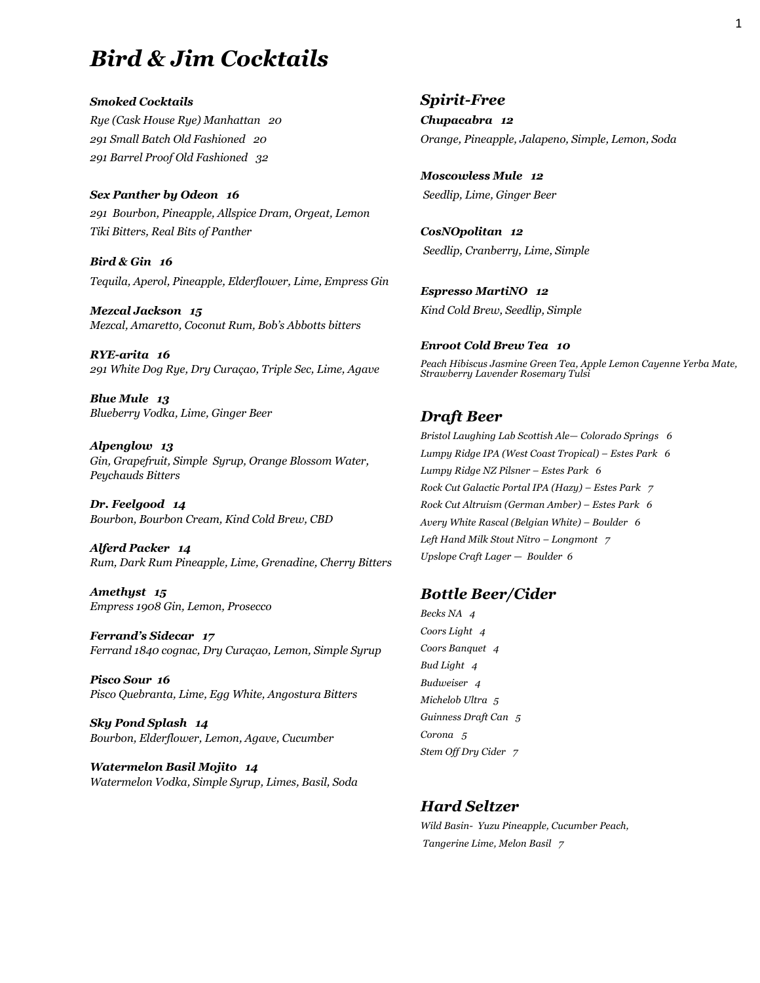# *Bird & Jim Cocktails*

*Smoked Cocktails Rye (Cask House Rye) Manhattan 20 291 Small Batch Old Fashioned 20 291 Barrel Proof Old Fashioned 32* 

*Sex Panther by Odeon 16 291 Bourbon, Pineapple, Allspice Dram, Orgeat, Lemon Tiki Bitters, Real Bits of Panther*

*Bird & Gin 16 Tequila, Aperol, Pineapple, Elderflower, Lime, Empress Gin* 

*Mezcal Jackson 15 Mezcal, Amaretto, Coconut Rum, Bob's Abbotts bitters*

*RYE-arita 16 291 White Dog Rye, Dry Curaçao, Triple Sec, Lime, Agave*

*Blue Mule 13 Blueberry Vodka, Lime, Ginger Beer*

*Alpenglow 13 Gin, Grapefruit, Simple Syrup, Orange Blossom Water, Peychauds Bitters*

*Dr. Feelgood 14 Bourbon, Bourbon Cream, Kind Cold Brew, CBD*

*Alferd Packer 14 Rum, Dark Rum Pineapple, Lime, Grenadine, Cherry Bitters*

*Amethyst 15 Empress 1908 Gin, Lemon, Prosecco*

*Ferrand's Sidecar 17 Ferrand 1840 cognac, Dry Curaçao, Lemon, Simple Syrup*

*Pisco Sour 16 Pisco Quebranta, Lime, Egg White, Angostura Bitters*

*Sky Pond Splash 14 Bourbon, Elderflower, Lemon, Agave, Cucumber*

*Watermelon Basil Mojito 14 Watermelon Vodka, Simple Syrup, Limes, Basil, Soda*

#### *Spirit-Free*

*Chupacabra 12 Orange, Pineapple, Jalapeno, Simple, Lemon, Soda*

*Moscowless Mule 12 Seedlip, Lime, Ginger Beer*

*CosNOpolitan 12 Seedlip, Cranberry, Lime, Simple*

*Espresso MartiNO 12 Kind Cold Brew, Seedlip, Simple*

*Enroot Cold Brew Tea 10 Peach Hibiscus Jasmine Green Tea, Apple Lemon Cayenne Yerba Mate, Strawberry Lavender Rosemary Tulsi*

### *Draft Beer*

*Bristol Laughing Lab Scottish Ale— Colorado Springs 6 Lumpy Ridge IPA (West Coast Tropical) – Estes Park 6 Lumpy Ridge NZ Pilsner – Estes Park 6 Rock Cut Galactic Portal IPA (Hazy) – Estes Park 7 Rock Cut Altruism (German Amber) – Estes Park 6 Avery White Rascal (Belgian White) – Boulder 6 Left Hand Milk Stout Nitro – Longmont 7 Upslope Craft Lager — Boulder 6*

#### *Bottle Beer/Cider*

*Becks NA 4 Coors Light 4 Coors Banquet 4 Bud Light 4 Budweiser 4 Michelob Ultra 5 Guinness Draft Can 5 Corona 5 Stem Off Dry Cider 7* 

### *Hard Seltzer*

*Wild Basin- Yuzu Pineapple, Cucumber Peach, Tangerine Lime, Melon Basil 7*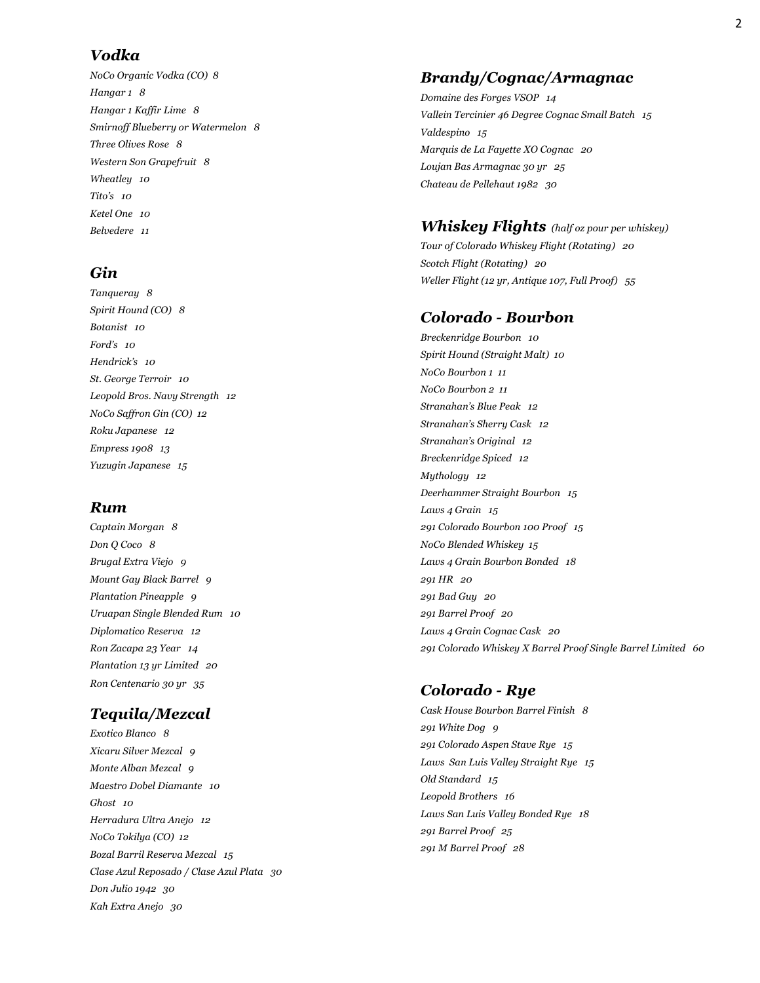### *Vodka*

*NoCo Organic Vodka (CO) 8 Hangar 1 8 Hangar 1 Kaffir Lime 8 Smirnoff Blueberry or Watermelon 8 Three Olives Rose 8 Western Son Grapefruit 8 Wheatley 10 Tito's 10 Ketel One 10 Belvedere 11* 

# *Gin*

*Tanqueray 8 Spirit Hound (CO) 8 Botanist 10 Ford's 10 Hendrick's 10 St. George Terroir 10 Leopold Bros. Navy Strength 12 NoCo Saffron Gin (CO) 12 Roku Japanese 12 Empress 1908 13 Yuzugin Japanese 15* 

# *Rum*

*Captain Morgan 8 Don Q Coco 8 Brugal Extra Viejo 9 Mount Gay Black Barrel 9 Plantation Pineapple 9 Uruapan Single Blended Rum 10 Diplomatico Reserva 12 Ron Zacapa 23 Year 14 Plantation 13 yr Limited 20 Ron Centenario 30 yr 35* 

# *Tequila/Mezcal*

*Exotico Blanco 8 Xicaru Silver Mezcal 9 Monte Alban Mezcal 9 Maestro Dobel Diamante 10 Ghost 10 Herradura Ultra Anejo 12 NoCo Tokilya (CO) 12 Bozal Barril Reserva Mezcal 15 Clase Azul Reposado / Clase Azul Plata 30 Don Julio 1942 30 Kah Extra Anejo 30* 

# *Brandy/Cognac/Armagnac*

*Domaine des Forges VSOP 14 Vallein Tercinier 46 Degree Cognac Small Batch 15 Valdespino 15 Marquis de La Fayette XO Cognac 20 Loujan Bas Armagnac 30 yr 25 Chateau de Pellehaut 1982 30* 

### *Whiskey Flights**(half oz pour per whiskey)*

*Tour of Colorado Whiskey Flight (Rotating) 20 Scotch Flight (Rotating) 20 Weller Flight (12 yr, Antique 107, Full Proof) 55* 

## *Colorado - Bourbon*

*Breckenridge Bourbon 10 Spirit Hound (Straight Malt) 10 NoCo Bourbon 1 11 NoCo Bourbon 2 11 Stranahan's Blue Peak 12 Stranahan's Sherry Cask 12 Stranahan's Original 12 Breckenridge Spiced 12 Mythology 12 Deerhammer Straight Bourbon 15 Laws 4 Grain 15 291 Colorado Bourbon 100 Proof 15 NoCo Blended Whiskey 15 Laws 4 Grain Bourbon Bonded 18 291 HR 20 291 Bad Guy 20 291 Barrel Proof 20 Laws 4 Grain Cognac Cask 20 291 Colorado Whiskey X Barrel Proof Single Barrel Limited 60* 

# *Colorado - Rye*

*Cask House Bourbon Barrel Finish 8 291 White Dog 9 291 Colorado Aspen Stave Rye 15 Laws San Luis Valley Straight Rye 15 Old Standard 15 Leopold Brothers 16 Laws San Luis Valley Bonded Rye 18 291 Barrel Proof 25 291 M Barrel Proof 28*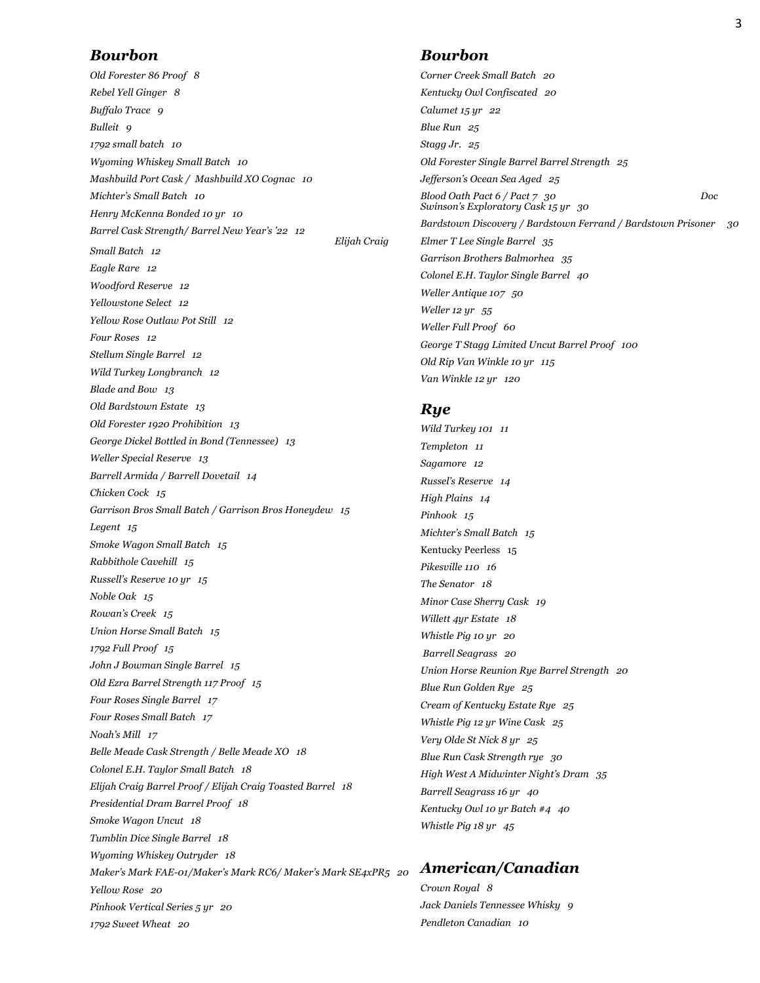#### *Bourbon*

*Old Forester 86 Proof 8 Rebel Yell Ginger 8 Buffalo Trace 9 Bulleit 9 1792 small batch 10 Wyoming Whiskey Small Batch 10 Mashbuild Port Cask / Mashbuild XO Cognac 10 Michter's Small Batch 10 Henry McKenna Bonded 10 yr 10 Barrel Cask Strength/ Barrel New Year's '22 12 Elijah Craig Small Batch 12 Eagle Rare 12 Woodford Reserve 12 Yellowstone Select 12 Yellow Rose Outlaw Pot Still 12 Four Roses 12 Stellum Single Barrel 12 Wild Turkey Longbranch 12 Blade and Bow 13 Old Bardstown Estate 13 Old Forester 1920 Prohibition 13 George Dickel Bottled in Bond (Tennessee) 13 Weller Special Reserve 13 Barrell Armida / Barrell Dovetail 14 Chicken Cock 15 Garrison Bros Small Batch / Garrison Bros Honeydew 15 Legent 15 Smoke Wagon Small Batch 15 Rabbithole Cavehill 15 Russell's Reserve 10 yr 15 Noble Oak 15 Rowan's Creek 15 Union Horse Small Batch 15 1792 Full Proof 15 John J Bowman Single Barrel 15 Old Ezra Barrel Strength 117 Proof 15 Four Roses Single Barrel 17 Four Roses Small Batch 17 Noah's Mill 17 Belle Meade Cask Strength / Belle Meade XO 18 Colonel E.H. Taylor Small Batch 18 Elijah Craig Barrel Proof / Elijah Craig Toasted Barrel 18 Presidential Dram Barrel Proof 18 Smoke Wagon Uncut 18 Tumblin Dice Single Barrel 18 Wyoming Whiskey Outryder 18 Maker's Mark FAE-01/Maker's Mark RC6/ Maker's Mark SE4xPR5 20 Yellow Rose 20 Pinhook Vertical Series 5 yr 20 1792 Sweet Wheat 20*

### *Bourbon*

*Corner Creek Small Batch 20 Kentucky Owl Confiscated 20 Calumet 15 yr 22 Blue Run 25 Stagg Jr. 25 Old Forester Single Barrel Barrel Strength 25 Jefferson's Ocean Sea Aged 25 Blood Oath Pact 6 / Pact 7 30 Doc Swinson's Exploratory Cask 15 yr 30 Bardstown Discovery / Bardstown Ferrand / Bardstown Prisoner 30 Elmer T Lee Single Barrel 35 Garrison Brothers Balmorhea 35 Colonel E.H. Taylor Single Barrel 40 Weller Antique 107 50 Weller 12 yr 55 Weller Full Proof 60 George T Stagg Limited Uncut Barrel Proof 100 Old Rip Van Winkle 10 yr 115 Van Winkle 12 yr 120* 

#### *Rye*

*Wild Turkey 101 11 Templeton 11 Sagamore 12 Russel's Reserve 14 High Plains 14 Pinhook 15 Michter's Small Batch 15*  Kentucky Peerless 15 *Pikesville 110 16 The Senator 18 Minor Case Sherry Cask 19 Willett 4yr Estate 18 Whistle Pig 10 yr 20 Barrell Seagrass 20 Union Horse Reunion Rye Barrel Strength 20 Blue Run Golden Rye 25 Cream of Kentucky Estate Rye 25 Whistle Pig 12 yr Wine Cask 25 Very Olde St Nick 8 yr 25 Blue Run Cask Strength rye 30 High West A Midwinter Night's Dram 35 Barrell Seagrass 16 yr 40 Kentucky Owl 10 yr Batch #4 40 Whistle Pig 18 yr 45* 

### *American/Canadian*

*Crown Royal 8 Jack Daniels Tennessee Whisky 9 Pendleton Canadian 10*